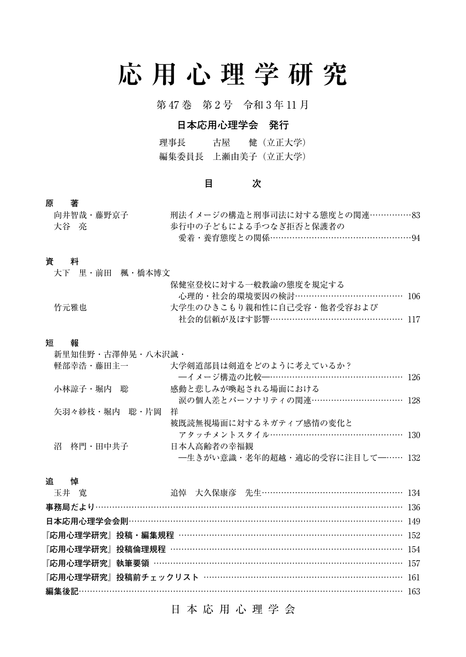# **応用心理学研究**

第 47 巻 第 2 号 令和 3 年 11 月

# **日本応用心理学会 発行**

理事長 古屋 健(立正大学) 編集委員長 上瀬由美子(立正大学)

### **目 次**

### **原 著**

| 向井智哉・藤野京子 | 刑法イメージの構造と刑事司法に対する態度との関連……………83 |  |
|-----------|---------------------------------|--|
| 大谷 亮      | 歩行中の子どもによる手つなぎ拒否と保護者の           |  |
|           | 愛着・養育熊度との関係……………………………………………94  |  |

### **資 料**

| いちゅうしょう おところ 貸り ボナシ かんかん うちゅうかん しゅうかん しゅうかん しゅうかん しゅうかん しゅうかん しゅうかん かんきょう |                                 |  |
|---------------------------------------------------------------------------|---------------------------------|--|
|                                                                           | 大下の里・前田の楓・橋本博文                  |  |
|                                                                           | 保健室登校に対する一般教諭の態度を規定する           |  |
|                                                                           | 心理的・社会的環境要因の検討………………………………… 106 |  |
| 竹元雅也                                                                      | - 大学生のひきこもり親和性に自己受容・他者受容および -   |  |
|                                                                           | 社会的信頼が及ぼす影響………………………………………… 117 |  |

### **短 報**

| 新里知佳野・古澤伸晃・八木沢誠・ |                                 |  |
|------------------|---------------------------------|--|
| 軽部幸浩・藤田主一        | 大学剣道部員は剣道をどのように考えているか?          |  |
|                  |                                 |  |
| 小林諒子・堀内 聡        | 感動と悲しみが喚起される場面における              |  |
|                  | 涙の個人差とパーソナリティの関連…………………………… 128 |  |
| 矢羽々紗枝・堀内 聡・片岡    | 祥                               |  |
|                  | 被既読無視場面に対するネガティブ感情の変化と          |  |
|                  | アタッチメントスタイル……………………………………… 130  |  |
| 沼 柊門・田中共子        | 日本人高齢者の幸福観                      |  |
|                  | 一生きがい意識・老年的超越・適応的受容に注目して一…… 132 |  |

### **追 悼**

| 玉井 寛 |  |  | 追悼 大久保康彦 先生………………………………………… 134                   |  |
|------|--|--|---------------------------------------------------|--|
|      |  |  |                                                   |  |
|      |  |  | 日本応用心理学会会則………………………………………………………………………………………… 149  |  |
|      |  |  | 『応用心理学研究』投稿・編集規程 ……………………………………………………………………… 152  |  |
|      |  |  | 『応用心理学研究』投稿倫理規程 ……………………………………………………………………… 154   |  |
|      |  |  | 『応用心理学研究』執筆要領 ……………………………………………………………………………… 157  |  |
|      |  |  | 『応用心理学研究』投稿前チェックリスト ………………………………………………………………… 161 |  |
|      |  |  |                                                   |  |
|      |  |  |                                                   |  |

日本応用心理学会